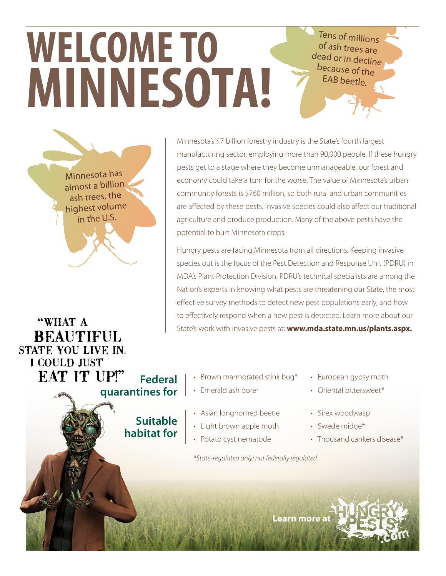Tens of millions of ash trees are dead or in decline because of the EAB beetle.

## **WELCOME TO MINNESOTA!**

Minnesota has almost a billion ash trees, the highest volume in the U.S.

"WHAT A **BEAUTIFUL** STATE YOU LIVE IN. I COULD JUST **EAT IT UP!" Federal quarantines for**

> **Suitable habitat for**

Minnesota's \$7 billion forestry industry is the State's fourth largest manufacturing sector, employing more than 90,000 people. If these hungry pests get to a stage where they become unmanageable, our forest and economy could take a turn for the worse. The value of Minnesota's urban community forests is \$760 million, so both rural and urban communities are affected by these pests. Invasive species could also affect our traditional agriculture and produce production. Many of the above pests have the potential to hurt Minnesota crops.

Hungry pests are facing Minnesota from all directions. Keeping invasive species out is the focus of the Pest Detection and Response Unit (PDRU) in MDA's Plant Protection Division. PDRU's technical specialists are among the Nation's experts in knowing what pests are threatening our State, the most effective survey methods to detect new pest populations early, and how to effectively respond when a new pest is detected. Learn more about our State's work with invasive pests at: **www.mda.state.mn.us/plants.aspx.**

- Brown marmorated stink bug\*
- Emerald ash borer
- Asian longhorned beetle
- Light brown apple moth
- Potato cyst nematode

*\*State-regulated only; not federally regulated*

- European gypsy moth
- Oriental bittersweet\*
- Sirex woodwasp
- Swede midge\*
- Thousand cankers disease\*

**Learn more a**t